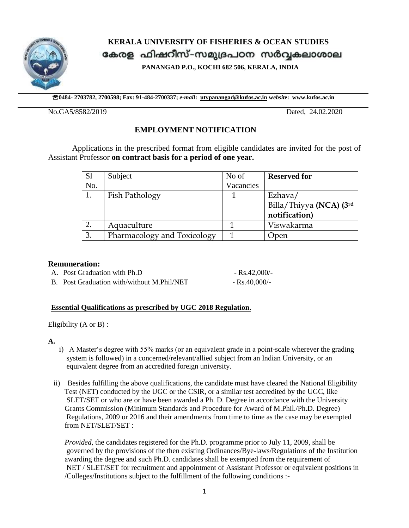

 **KERALA UNIVERSITY OF FISHERIES & OCEAN STUDIES** കേരള ഫിഷറീസ്-സമുദ്രപഠന സർവ്വകലാശാല

**PANANGAD P.O., KOCHI 682 506, KERALA, INDIA**

**0484- 2703782, 2700598; Fax: 91-484-2700337;** *e-mail***: [utypanangad@kufos.ac.in](mailto:utypanangad@kufos.ac.in) w***ebsit***e: www.kufos.ac.in**

No.GA5/8582/2019 Dated, 24.02.2020

# **EMPLOYMENT NOTIFICATION**

 Applications in the prescribed format from eligible candidates are invited for the post of Assistant Professor **on contract basis for a period of one year.**

| S <sub>1</sub> | Subject                     | No of     | <b>Reserved for</b>     |
|----------------|-----------------------------|-----------|-------------------------|
| No.            |                             | Vacancies |                         |
| 1.             | Fish Pathology              |           | Ezhava/                 |
|                |                             |           | Billa/Thiyya (NCA) (3rd |
|                |                             |           | notification)           |
| 2.             | Aquaculture                 |           | Viswakarma              |
| 3.             | Pharmacology and Toxicology |           | Open                    |

### **Remuneration:**

| A. Post Graduation with Ph.D               | - Rs.42.000/-      |
|--------------------------------------------|--------------------|
| B. Post Graduation with/without M.Phil/NET | $-$ Rs.40.000/ $-$ |

### **Essential Qualifications as prescribed by UGC 2018 Regulation.**

Eligibility (A or B) :

### **A.**

- i) A Master's degree with 55% marks (or an equivalent grade in a point-scale wherever the grading system is followed) in a concerned/relevant/allied subject from an Indian University, or an equivalent degree from an accredited foreign university.
- ii) Besides fulfilling the above qualifications, the candidate must have cleared the National Eligibility Test (NET) conducted by the UGC or the CSIR, or a similar test accredited by the UGC, like SLET/SET or who are or have been awarded a Ph. D. Degree in accordance with the University Grants Commission (Minimum Standards and Procedure for Award of M.Phil./Ph.D. Degree) Regulations, 2009 or 2016 and their amendments from time to time as the case may be exempted from NET/SLET/SET :

 *Provided,* the candidates registered for the Ph.D. programme prior to July 11, 2009, shall be governed by the provisions of the then existing Ordinances/Bye-laws/Regulations of the Institution awarding the degree and such Ph.D. candidates shall be exempted from the requirement of NET / SLET/SET for recruitment and appointment of Assistant Professor or equivalent positions in /Colleges/Institutions subject to the fulfillment of the following conditions :-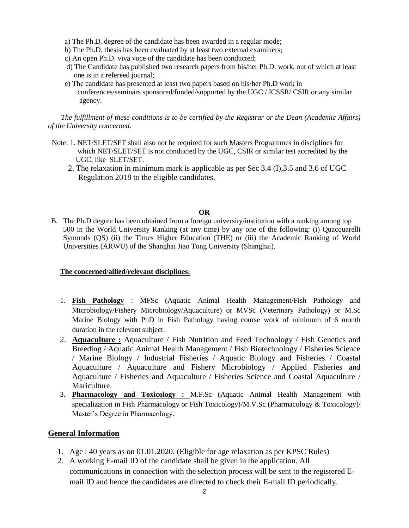- a) The Ph.D. degree of the candidate has been awarded in a regular mode;
- b) The Ph.D. thesis has been evaluated by at least two external examiners;
- c) An open Ph.D. viva voce of the candidate has been conducted;
- d) The Candidate has published two research papers from his/her Ph.D. work, out of which at least one is in a refereed journal;
- e) The candidate has presented at least two papers based on his/her Ph.D work in conferences/seminars sponsored/funded/supported by the UGC / ICSSR/ CSIR or any similar agency.

 *The fulfillment of these conditions is to be certified by the Registrar or the Dean (Academic Affairs) of the University concerned*.

- Note: 1. NET/SLET/SET shall also not be required for such Masters Programmes in disciplines for which NET/SLET/SET is not conducted by the UGC, CSIR or similar test accredited by the UGC, like SLET/SET.
	- 2. The relaxation in minimum mark is applicable as per Sec 3.4 (I),3.5 and 3.6 of UGC Regulation 2018 to the eligible candidates.

#### **OR**

B. The Ph.D degree has been obtained from a foreign university/institution with a ranking among top 500 in the World University Ranking (at any time) by any one of the following: (i) Quacquarelli Symonds (QS) (ii) the Times Higher Education (THE) or (iii) the Academic Ranking of World Universities (ARWU) of the Shanghai Jiao Tong University (Shanghai).

#### **The concerned/allied/relevant disciplines:**

- 1. **Fish Pathology** : MFSc (Aquatic Animal Health Management/Fish Pathology and Microbiology/Fishery Microbiology/Aquaculture) or MVSc (Veterinary Pathology) or M.Sc Marine Biology with PhD in Fish Pathology having course work of minimum of 6 month duration in the relevant subject.
- 2. **Aquaculture :** Aquaculture / Fish Nutrition and Feed Technology / Fish Genetics and Breeding / Aquatic Animal Health Management / Fish Biotechnology / Fisheries Science / Marine Biology / Industrial Fisheries / Aquatic Biology and Fisheries / Coastal Aquaculture / Aquaculture and Fishery Microbiology / Applied Fisheries and Aquaculture / Fisheries and Aquaculture / Fisheries Science and Coastal Aquaculture / Mariculture.
- 3. **Pharmacology and Toxicology :** M.F.Sc (Aquatic Animal Health Management with specialization in Fish Pharmacology or Fish Toxicology)/M.V.Sc (Pharmacology & Toxicology)/ Master's Degree in Pharmacology.

#### **General Information**

- 1. Age : 40 years as on 01.01.2020. (Eligible for age relaxation as per KPSC Rules)
- 2. A working E-mail ID of the candidate shall be given in the application. All communications in connection with the selection process will be sent to the registered Email ID and hence the candidates are directed to check their E-mail ID periodically.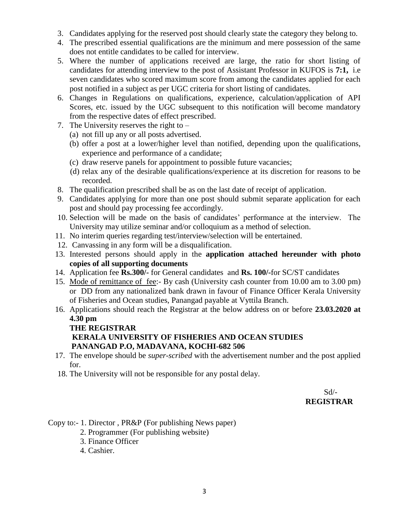- 3. Candidates applying for the reserved post should clearly state the category they belong to.
- 4. The prescribed essential qualifications are the minimum and mere possession of the same does not entitle candidates to be called for interview.
- 5. Where the number of applications received are large, the ratio for short listing of candidates for attending interview to the post of Assistant Professor in KUFOS is **7:1,** i.e seven candidates who scored maximum score from among the candidates applied for each post notified in a subject as per UGC criteria for short listing of candidates.
- 6. Changes in Regulations on qualifications, experience, calculation/application of API Scores, etc. issued by the UGC subsequent to this notification will become mandatory from the respective dates of effect prescribed.
- 7. The University reserves the right to
	- (a) not fill up any or all posts advertised.
	- (b) offer a post at a lower/higher level than notified, depending upon the qualifications, experience and performance of a candidate;
	- (c) draw reserve panels for appointment to possible future vacancies;
	- (d) relax any of the desirable qualifications/experience at its discretion for reasons to be recorded.
- 8. The qualification prescribed shall be as on the last date of receipt of application.
- 9. Candidates applying for more than one post should submit separate application for each post and should pay processing fee accordingly.
- 10. Selection will be made on the basis of candidates' performance at the interview. The University may utilize seminar and/or colloquium as a method of selection.
- 11. No interim queries regarding test/interview/selection will be entertained.
- 12. Canvassing in any form will be a disqualification.
- 13. Interested persons should apply in the **application attached hereunder with photo copies of all supporting documents**
- 14. Application fee **Rs.300/-** for General candidates and **Rs. 100/-**for SC/ST candidates
- 15. Mode of remittance of fee:- By cash (University cash counter from 10.00 am to 3.00 pm) or DD from any nationalized bank drawn in favour of Finance Officer Kerala University of Fisheries and Ocean studies, Panangad payable at Vyttila Branch.
- 16. Applications should reach the Registrar at the below address on or before **23.03.2020 at 4.30 pm**

### **THE REGISTRAR**

# **KERALA UNIVERSITY OF FISHERIES AND OCEAN STUDIES PANANGAD P.O, MADAVANA, KOCHI-682 506**

- 17. The envelope should be *super-scribed* with the advertisement number and the post applied for.
- 18. The University will not be responsible for any postal delay.

 $Sd$ <sup>-</sup> **REGISTRAR**

# Copy to:- 1. Director , PR&P (For publishing News paper)

- 2. Programmer (For publishing website)
- 3. Finance Officer
- 4. Cashier.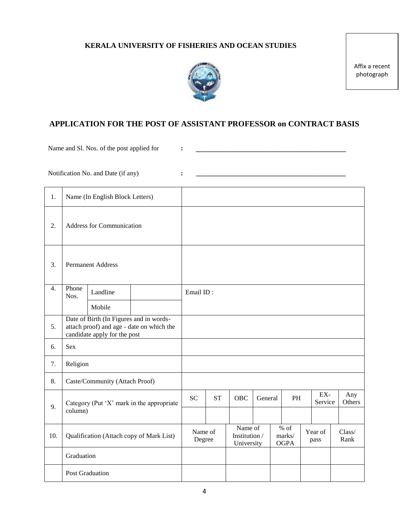### **KERALA UNIVERSITY OF FISHERIES AND OCEAN STUDIES**



Affix a recent photograph

# **APPLICATION FOR THE POST OF ASSISTANT PROFESSOR on CONTRACT BASIS**

Name and Sl. Nos. of the post applied for  $\cdot$  **:** 

Notification No. and Date (if any) **: \_\_\_\_\_\_\_\_\_\_\_\_\_\_\_\_\_\_\_\_\_\_\_\_\_\_\_\_\_\_\_\_\_\_\_\_\_\_\_\_\_\_\_\_\_**

| 1.               | Name (In English Block Letters)                                                                                      |          |                   |           |                                        |         |                                 |                 |                |  |
|------------------|----------------------------------------------------------------------------------------------------------------------|----------|-------------------|-----------|----------------------------------------|---------|---------------------------------|-----------------|----------------|--|
| 2.               | <b>Address for Communication</b>                                                                                     |          |                   |           |                                        |         |                                 |                 |                |  |
| 3.               | <b>Permanent Address</b>                                                                                             |          |                   |           |                                        |         |                                 |                 |                |  |
| $\overline{4}$ . | Phone<br>Nos.                                                                                                        | Landline |                   | Email ID: |                                        |         |                                 |                 |                |  |
|                  |                                                                                                                      | Mobile   |                   |           |                                        |         |                                 |                 |                |  |
| 5.               | Date of Birth (In Figures and in words-<br>attach proof) and age - date on which the<br>candidate apply for the post |          |                   |           |                                        |         |                                 |                 |                |  |
| 6.               | <b>Sex</b>                                                                                                           |          |                   |           |                                        |         |                                 |                 |                |  |
| 7.               | Religion                                                                                                             |          |                   |           |                                        |         |                                 |                 |                |  |
| 8.               | Caste/Community (Attach Proof)                                                                                       |          |                   |           |                                        |         |                                 |                 |                |  |
| 9.               | Category (Put 'X' mark in the appropriate                                                                            |          | <b>SC</b>         | <b>ST</b> | OBC                                    | General | <b>PH</b>                       | EX-<br>Service  | Any<br>Others  |  |
|                  | column)                                                                                                              |          |                   |           |                                        |         |                                 |                 |                |  |
| 10.              | Qualification (Attach copy of Mark List)                                                                             |          | Name of<br>Degree |           | Name of<br>Institution /<br>University |         | $%$ of<br>marks/<br><b>OGPA</b> | Year of<br>pass | Class/<br>Rank |  |
|                  | Graduation                                                                                                           |          |                   |           |                                        |         |                                 |                 |                |  |
|                  | Post Graduation                                                                                                      |          |                   |           |                                        |         |                                 |                 |                |  |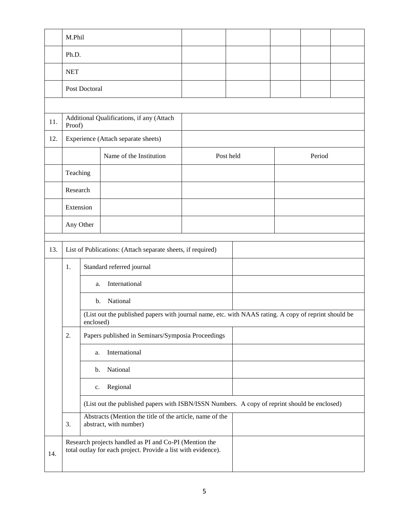|     | M.Phil                                                                                                                  |           |                                                                                                      |  |           |  |        |  |
|-----|-------------------------------------------------------------------------------------------------------------------------|-----------|------------------------------------------------------------------------------------------------------|--|-----------|--|--------|--|
|     | Ph.D.                                                                                                                   |           |                                                                                                      |  |           |  |        |  |
|     | <b>NET</b>                                                                                                              |           |                                                                                                      |  |           |  |        |  |
|     | Post Doctoral                                                                                                           |           |                                                                                                      |  |           |  |        |  |
|     |                                                                                                                         |           |                                                                                                      |  |           |  |        |  |
| 11. | Proof)                                                                                                                  |           | Additional Qualifications, if any (Attach                                                            |  |           |  |        |  |
| 12. |                                                                                                                         |           | Experience (Attach separate sheets)                                                                  |  |           |  |        |  |
|     |                                                                                                                         |           | Name of the Institution                                                                              |  | Post held |  | Period |  |
|     | Teaching                                                                                                                |           |                                                                                                      |  |           |  |        |  |
|     | Research                                                                                                                |           |                                                                                                      |  |           |  |        |  |
|     | Extension                                                                                                               |           |                                                                                                      |  |           |  |        |  |
|     | Any Other                                                                                                               |           |                                                                                                      |  |           |  |        |  |
| 13. |                                                                                                                         |           |                                                                                                      |  |           |  |        |  |
|     | List of Publications: (Attach separate sheets, if required)                                                             |           |                                                                                                      |  |           |  |        |  |
|     | Standard referred journal<br>1.                                                                                         |           |                                                                                                      |  |           |  |        |  |
|     |                                                                                                                         | a.        | International                                                                                        |  |           |  |        |  |
|     |                                                                                                                         | b.        | National                                                                                             |  |           |  |        |  |
|     |                                                                                                                         | enclosed) | (List out the published papers with journal name, etc. with NAAS rating. A copy of reprint should be |  |           |  |        |  |
|     | 2.                                                                                                                      |           | Papers published in Seminars/Symposia Proceedings                                                    |  |           |  |        |  |
|     | International<br>a.                                                                                                     |           |                                                                                                      |  |           |  |        |  |
|     | National<br>b.                                                                                                          |           |                                                                                                      |  |           |  |        |  |
|     | Regional<br>c.                                                                                                          |           |                                                                                                      |  |           |  |        |  |
|     | (List out the published papers with ISBN/ISSN Numbers. A copy of reprint should be enclosed)                            |           |                                                                                                      |  |           |  |        |  |
|     | Abstracts (Mention the title of the article, name of the<br>3.<br>abstract, with number)                                |           |                                                                                                      |  |           |  |        |  |
| 14. | Research projects handled as PI and Co-PI (Mention the<br>total outlay for each project. Provide a list with evidence). |           |                                                                                                      |  |           |  |        |  |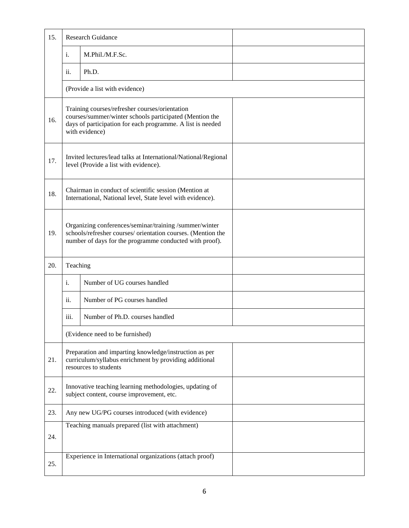| 15. |                                                                                                                                                                                           | <b>Research Guidance</b>                                 |  |  |  |
|-----|-------------------------------------------------------------------------------------------------------------------------------------------------------------------------------------------|----------------------------------------------------------|--|--|--|
|     | i.                                                                                                                                                                                        | M.Phil./M.F.Sc.                                          |  |  |  |
|     | ii.                                                                                                                                                                                       | Ph.D.                                                    |  |  |  |
|     |                                                                                                                                                                                           | (Provide a list with evidence)                           |  |  |  |
| 16. | Training courses/refresher courses/orientation<br>courses/summer/winter schools participated (Mention the<br>days of participation for each programme. A list is needed<br>with evidence) |                                                          |  |  |  |
| 17. | Invited lectures/lead talks at International/National/Regional<br>level (Provide a list with evidence).                                                                                   |                                                          |  |  |  |
| 18. | Chairman in conduct of scientific session (Mention at<br>International, National level, State level with evidence).                                                                       |                                                          |  |  |  |
| 19. | Organizing conferences/seminar/training /summer/winter<br>schools/refresher courses/ orientation courses. (Mention the<br>number of days for the programme conducted with proof).         |                                                          |  |  |  |
| 20. | Teaching                                                                                                                                                                                  |                                                          |  |  |  |
|     | i.                                                                                                                                                                                        | Number of UG courses handled                             |  |  |  |
|     | ii.                                                                                                                                                                                       | Number of PG courses handled                             |  |  |  |
|     | iii.                                                                                                                                                                                      | Number of Ph.D. courses handled                          |  |  |  |
|     |                                                                                                                                                                                           | (Evidence need to be furnished)                          |  |  |  |
| 21. | Preparation and imparting knowledge/instruction as per<br>curriculum/syllabus enrichment by providing additional<br>resources to students                                                 |                                                          |  |  |  |
| 22. | Innovative teaching learning methodologies, updating of<br>subject content, course improvement, etc.                                                                                      |                                                          |  |  |  |
| 23. | Any new UG/PG courses introduced (with evidence)                                                                                                                                          |                                                          |  |  |  |
| 24. |                                                                                                                                                                                           | Teaching manuals prepared (list with attachment)         |  |  |  |
| 25. |                                                                                                                                                                                           | Experience in International organizations (attach proof) |  |  |  |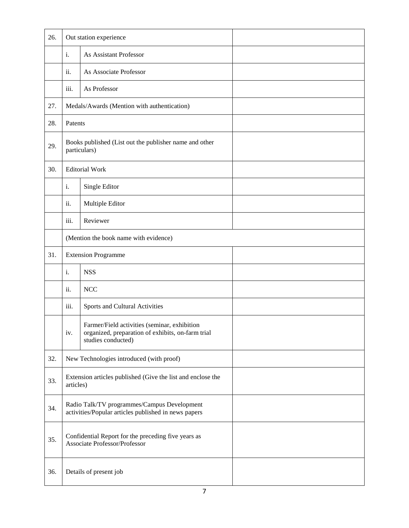| 26. |                                                                                                     | Out station experience                                                                                                  |  |  |  |
|-----|-----------------------------------------------------------------------------------------------------|-------------------------------------------------------------------------------------------------------------------------|--|--|--|
|     | i.                                                                                                  | As Assistant Professor                                                                                                  |  |  |  |
|     | ii.                                                                                                 | As Associate Professor                                                                                                  |  |  |  |
|     | iii.                                                                                                | As Professor                                                                                                            |  |  |  |
| 27. |                                                                                                     | Medals/Awards (Mention with authentication)                                                                             |  |  |  |
| 28. | Patents                                                                                             |                                                                                                                         |  |  |  |
| 29. |                                                                                                     | Books published (List out the publisher name and other<br>particulars)                                                  |  |  |  |
| 30. |                                                                                                     | <b>Editorial Work</b>                                                                                                   |  |  |  |
|     | i.                                                                                                  | Single Editor                                                                                                           |  |  |  |
|     | ii.                                                                                                 | Multiple Editor                                                                                                         |  |  |  |
|     | iii.                                                                                                | Reviewer                                                                                                                |  |  |  |
|     | (Mention the book name with evidence)                                                               |                                                                                                                         |  |  |  |
| 31. |                                                                                                     | <b>Extension Programme</b>                                                                                              |  |  |  |
|     | i.                                                                                                  | <b>NSS</b>                                                                                                              |  |  |  |
|     | ii.                                                                                                 | $\rm NCC$                                                                                                               |  |  |  |
|     | iii.                                                                                                | Sports and Cultural Activities                                                                                          |  |  |  |
|     | iv.                                                                                                 | Farmer/Field activities (seminar, exhibition<br>organized, preparation of exhibits, on-farm trial<br>studies conducted) |  |  |  |
| 32. |                                                                                                     | New Technologies introduced (with proof)                                                                                |  |  |  |
| 33. | Extension articles published (Give the list and enclose the<br>articles)                            |                                                                                                                         |  |  |  |
| 34. | Radio Talk/TV programmes/Campus Development<br>activities/Popular articles published in news papers |                                                                                                                         |  |  |  |
| 35. | Confidential Report for the preceding five years as<br>Associate Professor/Professor                |                                                                                                                         |  |  |  |
| 36. | Details of present job                                                                              |                                                                                                                         |  |  |  |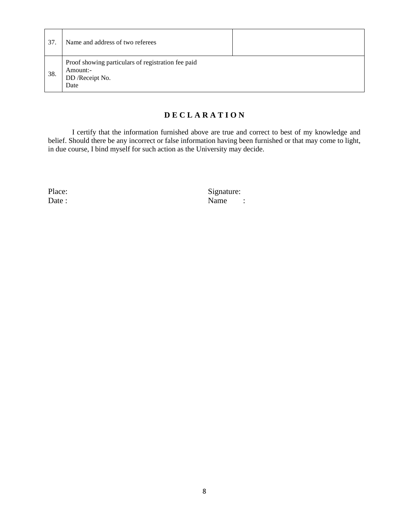| 37. | Name and address of two referees                                                          |  |
|-----|-------------------------------------------------------------------------------------------|--|
| 38. | Proof showing particulars of registration fee paid<br>Amount:-<br>DD /Receipt No.<br>Date |  |

### **D E C L A R A T I O N**

I certify that the information furnished above are true and correct to best of my knowledge and belief. Should there be any incorrect or false information having been furnished or that may come to light, in due course, I bind myself for such action as the University may decide.

Place: Signature: Signature: Signature: Name Name :